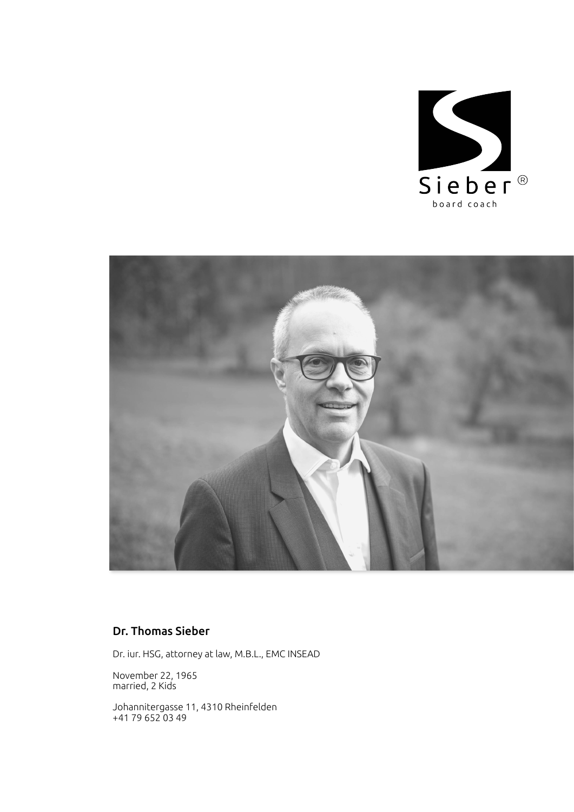



# Dr. Thomas Sieber

Dr. iur. HSG, attorney at law, M.B.L., EMC INSEAD

November 22, 1965 married, 2 Kids

Johannitergasse 11, 4310 Rheinfelden +41 79 652 03 49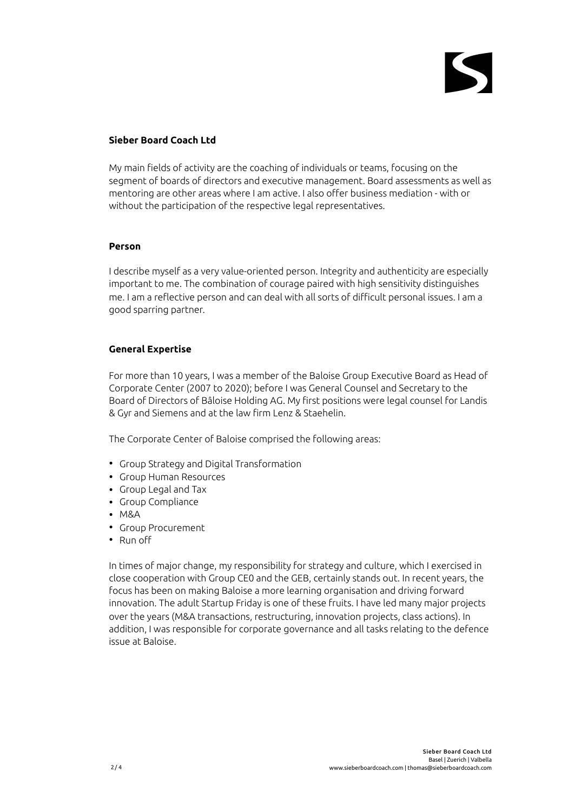#### **Sieber Board Coach Ltd**

My main fields of activity are the coaching of individuals or teams, focusing on the segment of boards of directors and executive management. Board assessments as well as mentoring are other areas where I am active. I also offer business mediation - with or without the participation of the respective legal representatives.

#### **Person**

I describe myself as a very value-oriented person. Integrity and authenticity are especially important to me. The combination of courage paired with high sensitivity distinguishes me. I am a reflective person and can deal with all sorts of difficult personal issues. I am a good sparring partner.

## **General Expertise**

For more than 10 years, I was a member of the Baloise Group Executive Board as Head of Corporate Center (2007 to 2020); before I was General Counsel and Secretary to the Board of Directors of Bâloise Holding AG. My first positions were legal counsel for Landis & Gyr and Siemens and at the law firm Lenz & Staehelin.

The Corporate Center of Baloise comprised the following areas:

- Group Strategy and Digital Transformation
- Group Human Resources
- Group Legal and Tax
- Group Compliance
- M&A
- Group Procurement
- Run off

In times of major change, my responsibility for strategy and culture, which I exercised in close cooperation with Group CE0 and the GEB, certainly stands out. In recent years, the focus has been on making Baloise a more learning organisation and driving forward innovation. The adult Startup Friday is one of these fruits. I have led many major projects over the years (M&A transactions, restructuring, innovation projects, class actions). In addition, I was responsible for corporate governance and all tasks relating to the defence issue at Baloise.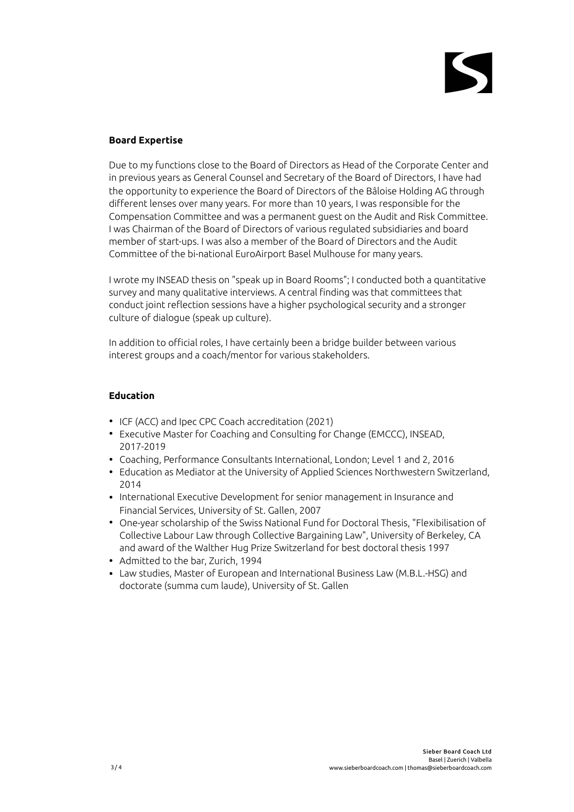## **Board Expertise**

Due to my functions close to the Board of Directors as Head of the Corporate Center and in previous years as General Counsel and Secretary of the Board of Directors, I have had the opportunity to experience the Board of Directors of the Bâloise Holding AG through different lenses over many years. For more than 10 years, I was responsible for the Compensation Committee and was a permanent guest on the Audit and Risk Committee. I was Chairman of the Board of Directors of various regulated subsidiaries and board member of start-ups. I was also a member of the Board of Directors and the Audit Committee of the bi-national EuroAirport Basel Mulhouse for many years.

I wrote my INSEAD thesis on "speak up in Board Rooms"; I conducted both a quantitative survey and many qualitative interviews. A central finding was that committees that conduct joint reflection sessions have a higher psychological security and a stronger culture of dialogue (speak up culture).

In addition to official roles, I have certainly been a bridge builder between various interest groups and a coach/mentor for various stakeholders.

## **Education**

- ICF (ACC) and Ipec CPC Coach accreditation (2021)
- Executive Master for Coaching and Consulting for Change (EMCCC), INSEAD, 2017-2019
- Coaching, Performance Consultants International, London; Level 1 and 2, 2016
- Education as Mediator at the University of Applied Sciences Northwestern Switzerland, 2014
- International Executive Development for senior management in Insurance and Financial Services, University of St. Gallen, 2007
- One-year scholarship of the Swiss National Fund for Doctoral Thesis, "Flexibilisation of Collective Labour Law through Collective Bargaining Law", University of Berkeley, CA and award of the Walther Hug Prize Switzerland for best doctoral thesis 1997
- Admitted to the bar, Zurich, 1994
- Law studies, Master of European and International Business Law (M.B.L.-HSG) and doctorate (summa cum laude), University of St. Gallen